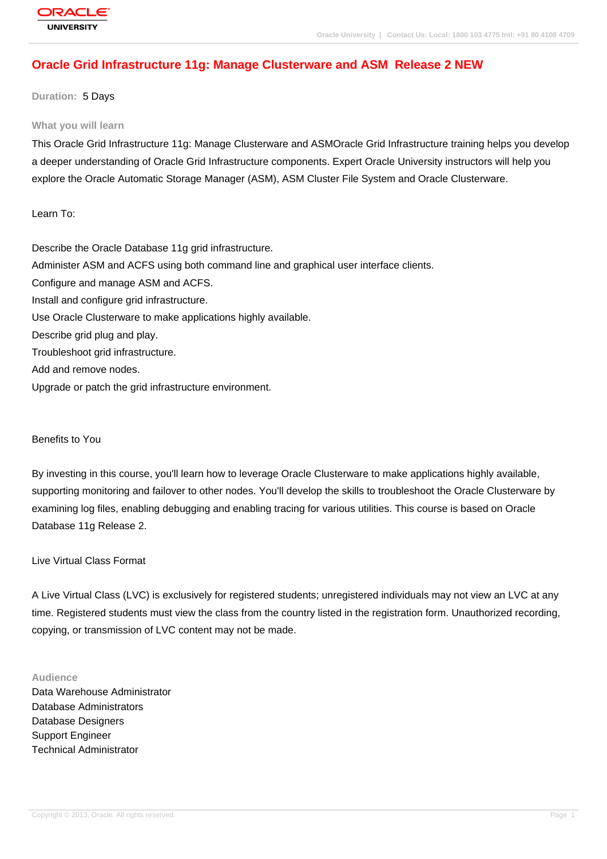# **[Oracle Grid Inf](http://education.oracle.com/pls/web_prod-plq-dad/db_pages.getpage?page_id=3)rastructure 11g: Manage Clusterware and ASM Release 2 NEW**

**Duration:** 5 Days

#### **What you will learn**

This Oracle Grid Infrastructure 11g: Manage Clusterware and ASMOracle Grid Infrastructure training helps you develop a deeper understanding of Oracle Grid Infrastructure components. Expert Oracle University instructors will help you explore the Oracle Automatic Storage Manager (ASM), ASM Cluster File System and Oracle Clusterware.

Learn To:

Describe the Oracle Database 11g grid infrastructure. Administer ASM and ACFS using both command line and graphical user interface clients. Configure and manage ASM and ACFS. Install and configure grid infrastructure. Use Oracle Clusterware to make applications highly available. Describe grid plug and play. Troubleshoot grid infrastructure. Add and remove nodes. Upgrade or patch the grid infrastructure environment.

Benefits to You

By investing in this course, you'll learn how to leverage Oracle Clusterware to make applications highly available, supporting monitoring and failover to other nodes. You'll develop the skills to troubleshoot the Oracle Clusterware by examining log files, enabling debugging and enabling tracing for various utilities. This course is based on Oracle Database 11g Release 2.

Live Virtual Class Format

A Live Virtual Class (LVC) is exclusively for registered students; unregistered individuals may not view an LVC at any time. Registered students must view the class from the country listed in the registration form. Unauthorized recording, copying, or transmission of LVC content may not be made.

#### **Audience**

Data Warehouse Administrator Database Administrators Database Designers Support Engineer Technical Administrator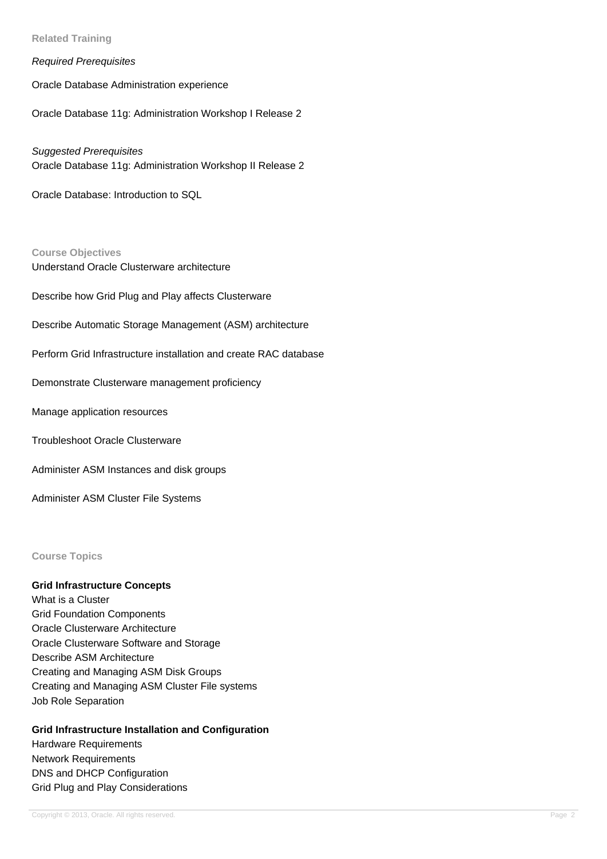**Related Training**

Required Prerequisites

Oracle Database Administration experience

Oracle Database 11g: Administration Workshop I Release 2

### Suggested Prerequisites

Oracle Database 11g: Administration Workshop II Release 2

Oracle Database: Introduction to SQL

#### **Course Objectives**

Understand Oracle Clusterware architecture

Describe how Grid Plug and Play affects Clusterware

Describe Automatic Storage Management (ASM) architecture

Perform Grid Infrastructure installation and create RAC database

Demonstrate Clusterware management proficiency

Manage application resources

Troubleshoot Oracle Clusterware

Administer ASM Instances and disk groups

Administer ASM Cluster File Systems

#### **Course Topics**

## **Grid Infrastructure Concepts**

What is a Cluster Grid Foundation Components Oracle Clusterware Architecture Oracle Clusterware Software and Storage Describe ASM Architecture Creating and Managing ASM Disk Groups Creating and Managing ASM Cluster File systems Job Role Separation

### **Grid Infrastructure Installation and Configuration**

Hardware Requirements Network Requirements DNS and DHCP Configuration Grid Plug and Play Considerations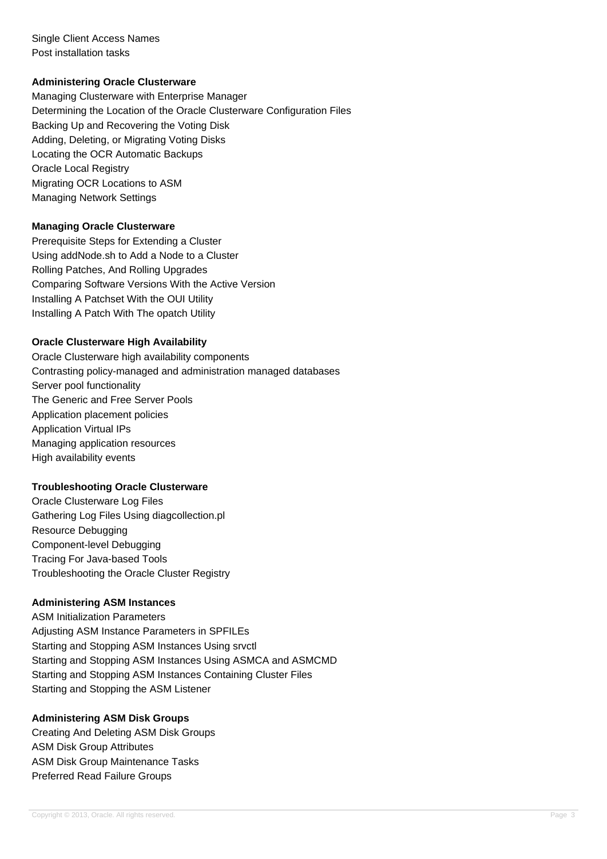Single Client Access Names Post installation tasks

## **Administering Oracle Clusterware**

Managing Clusterware with Enterprise Manager Determining the Location of the Oracle Clusterware Configuration Files Backing Up and Recovering the Voting Disk Adding, Deleting, or Migrating Voting Disks Locating the OCR Automatic Backups Oracle Local Registry Migrating OCR Locations to ASM Managing Network Settings

### **Managing Oracle Clusterware**

Prerequisite Steps for Extending a Cluster Using addNode.sh to Add a Node to a Cluster Rolling Patches, And Rolling Upgrades Comparing Software Versions With the Active Version Installing A Patchset With the OUI Utility Installing A Patch With The opatch Utility

### **Oracle Clusterware High Availability**

Oracle Clusterware high availability components Contrasting policy-managed and administration managed databases Server pool functionality The Generic and Free Server Pools Application placement policies Application Virtual IPs Managing application resources High availability events

### **Troubleshooting Oracle Clusterware**

Oracle Clusterware Log Files Gathering Log Files Using diagcollection.pl Resource Debugging Component-level Debugging Tracing For Java-based Tools Troubleshooting the Oracle Cluster Registry

### **Administering ASM Instances**

ASM Initialization Parameters Adjusting ASM Instance Parameters in SPFILEs Starting and Stopping ASM Instances Using srvctl Starting and Stopping ASM Instances Using ASMCA and ASMCMD Starting and Stopping ASM Instances Containing Cluster Files Starting and Stopping the ASM Listener

### **Administering ASM Disk Groups**

Creating And Deleting ASM Disk Groups ASM Disk Group Attributes ASM Disk Group Maintenance Tasks Preferred Read Failure Groups